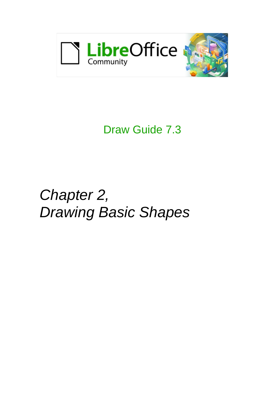

# Draw Guide 7.3

# *Chapter 2, Drawing Basic Shapes*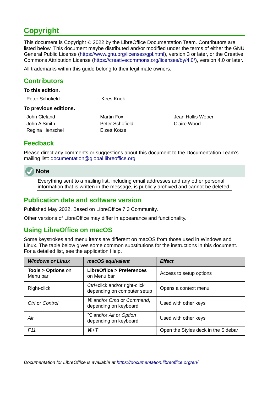# <span id="page-1-0"></span>**Copyright**

This document is Copyright © 2022 by the LibreOffice Documentation Team. Contributors are listed below. This document maybe distributed and/or modified under the terms of either the GNU General Public License (<https://www.gnu.org/licenses/gpl.html>), version 3 or later, or the Creative Commons Attribution License (<https://creativecommons.org/licenses/by/4.0/>), version 4.0 or later.

All trademarks within this guide belong to their legitimate owners.

### <span id="page-1-4"></span>**Contributors**

#### **To this edition.**

| Peter Schofield | <b>Kees Kriek</b> |
|-----------------|-------------------|
|                 |                   |

#### **To previous editions.**

| John Cleland    | Martin Fox   |
|-----------------|--------------|
| John A Smith    | Peter Schofi |
| Regina Henschel | Elzett Kotze |

Jean Hollis Weber John A Smith Peter Schofield Claire Wood

# <span id="page-1-3"></span>**Feedback**

Please direct any comments or suggestions about this document to the Documentation Team's mailing list: [documentation@global.libreoffice.org](mailto:documentation@global.libreoffice.org)

# **Note**

Everything sent to a mailing list, including email addresses and any other personal information that is written in the message, is publicly archived and cannot be deleted.

### <span id="page-1-2"></span>**Publication date and software version**

Published May 2022. Based on LibreOffice 7.3 Community.

Other versions of LibreOffice may differ in appearance and functionality.

### <span id="page-1-1"></span>**Using LibreOffice on macOS**

Some keystrokes and menu items are different on macOS from those used in Windows and Linux. The table below gives some common substitutions for the instructions in this document. For a detailed list, see the application Help.

| <b>Windows or Linux</b>                  | macOS equivalent                                                     | <b>Effect</b>                       |
|------------------------------------------|----------------------------------------------------------------------|-------------------------------------|
| <b>Tools &gt; Options on</b><br>Menu bar | <b>LibreOffice &gt; Preferences</b><br>on Menu bar                   | Access to setup options             |
| Right-click                              | Ctrl+click and/or right-click<br>depending on computer setup         | Opens a context menu                |
| Ctrl or Control                          | <b>36 and/or Cmd or Command,</b><br>depending on keyboard            | Used with other keys                |
| Alt                                      | <b>∖</b> and/or <i>Alt</i> or <i>Option</i><br>depending on keyboard | Used with other keys                |
| F11                                      | $H+T$                                                                | Open the Styles deck in the Sidebar |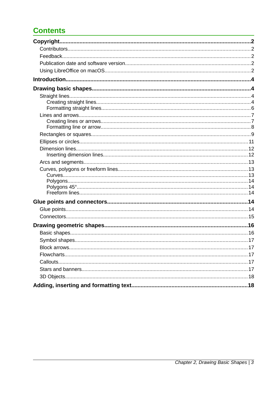# **Contents**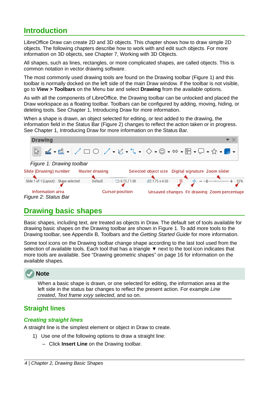# <span id="page-3-3"></span>**Introduction**

LibreOffice Draw can create 2D and 3D objects. This chapter shows how to draw simple 2D objects. The following chapters describe how to work with and edit such objects. For more information on 3D objects, see Chapter 7, Working with 3D Objects.

All shapes, such as lines, rectangles, or more complicated shapes, are called objects. This is common notation in vector drawing software.

The most commonly used drawing tools are found on the Drawing toolbar (Figure [1](#page-3-4)) and this toolbar is normally docked on the left side of the main Draw window. If the toolbar is not visible, go to **View > Toolbars** on the Menu bar and select **Drawing** from the available options.

As with all the components of LibreOffice, the Drawing toolbar can be unlocked and placed the Draw workspace as a floating toolbar. Toolbars can be configured by adding, moving, hiding, or deleting tools. See Chapter 1, Introducing Draw for more information.

When a shape is drawn, an object selected for editing, or text added to the drawing, the information field in the Status Bar (Figure [2](#page-3-5)) changes to reflect the action taken or in progress. See Chapter 1, Introducing Draw for more information on the Status Bar.

<span id="page-3-4"></span>

# <span id="page-3-5"></span><span id="page-3-2"></span>**Drawing basic shapes**

Basic shapes, including text, are treated as objects in Draw. The default set of tools available for drawing basic shapes on the Drawing toolbar are shown in Figure [1](#page-3-4). To add more tools to the Drawing toolbar, see Appendix B, Toolbars and the *Getting Started Guide* for more information.

Some tool icons on the Drawing toolbar change shape according to the last tool used from the selection of available tools. Each tool that has a triangle  $\blacktriangledown$  next to the tool icon indicates that more tools are available. See ["Drawing geometric shapes"](#page-15-1) on page [16](#page-15-1) for information on the available shapes.

# **Note**

When a basic shape is drawn, or one selected for editing, the information area at the left side in the status bar changes to reflect the present action. For example *Line created*, *Text frame xxyy selected*, and so on.

# <span id="page-3-1"></span>**Straight lines**

#### <span id="page-3-0"></span>*Creating straight lines*

A straight line is the simplest element or object in Draw to create.

- 1) Use one of the following options to draw a straight line:
	- Click **Insert Line** on the Drawing toolbar.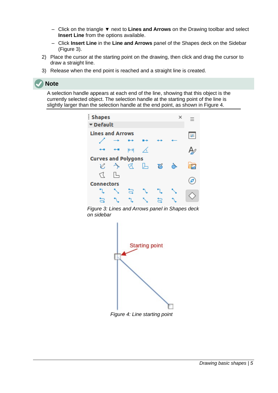- Click on the triangle ▼ next to **Lines and Arrows** on the Drawing toolbar and select **Insert Line** from the options available.
- Click **Insert Line** in the **Line and Arrows** panel of the Shapes deck on the Sidebar (Figure [3\)](#page-4-1).
- 2) Place the cursor at the starting point on the drawing, then click and drag the cursor to draw a straight line.
- 3) Release when the end point is reached and a straight line is created.

A selection handle appears at each end of the line, showing that this object is the currently selected object. The selection handle at the starting point of the line is slightly larger than the selection handle at the end point, as shown in Figure [4](#page-4-0).



*Figure 3: Lines and Arrows panel in Shapes deck on sidebar*

<span id="page-4-1"></span>

<span id="page-4-0"></span>*Figure 4: Line starting point*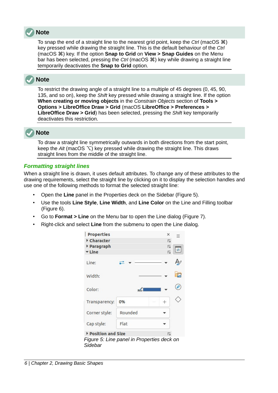

To snap the end of a straight line to the nearest grid point, keep the *Ctrl* (macOS  $\mathcal{R}$ ) key pressed while drawing the straight line. This is the default behaviour of the *Ctrl* (macOS  $\mathcal{R}$ ) key. If the option **Snap to Grid** on **View > Snap Guides** on the Menu bar has been selected, pressing the *Ctrl* (macOS  $\Re$ ) key while drawing a straight line temporarily deactivates the **Snap to Grid** option.

# **Note**

To restrict the drawing angle of a straight line to a multiple of 45 degrees (0, 45, 90, 135, and so on), keep the *Shift* key pressed while drawing a straight line. If the option **When creating or moving objects** in the *Constrain Objects* section of **Tools > Options > LibreOffice Draw > Grid** (macOS **LibreOffice > Preferences > LibreOffice Draw > Grid**) has been selected, pressing the *Shift* key temporarily deactivates this restriction.



To draw a straight line symmetrically outwards in both directions from the start point, keep the *Alt* (macOS  $\sqrt{ }$ ) key pressed while drawing the straight line. This draws straight lines from the middle of the straight line.

#### <span id="page-5-0"></span>*Formatting straight lines*

When a straight line is drawn, it uses default attributes. To change any of these attributes to the drawing requirements, select the straight line by clicking on it to display the selection handles and use one of the following methods to format the selected straight line:

- Open the **Line** panel in the Properties deck on the Sidebar (Figure [5](#page-5-1)).
- Use the tools **Line Style**, **Line Width**, and **Line Color** on the Line and Filling toolbar (Figure [6](#page-6-3)).
- Go to **Format > Line** on the Menu bar to open the Line dialog (Figure [7](#page-6-2)).
- Right-click and select **Line** from the submenu to open the Line dialog.

<span id="page-5-1"></span>

| <b>Properties</b>                          |         | ×                       |  |
|--------------------------------------------|---------|-------------------------|--|
| Character                                  |         | $\overline{\mathbf{v}}$ |  |
| Paragraph                                  |         | 心                       |  |
| <b>v</b> Line                              |         | 心                       |  |
| Line:                                      |         |                         |  |
| Width:                                     |         |                         |  |
| Color:                                     |         |                         |  |
| Transparency:                              | 0%      | $^{+}$                  |  |
| Corner style:                              | Rounded |                         |  |
| Cap style:                                 | Flat    |                         |  |
| Position and Size                          |         | $\overline{\mathbf{v}}$ |  |
| Figure 5: Line panel in Properties deck on |         |                         |  |
| Sidebar                                    |         |                         |  |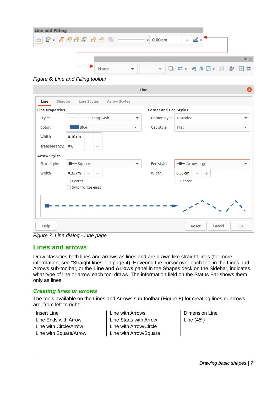| Line and Filling |      |                   |        |                                                                                                                                                                                                                                                                                                                                                                                                                                                                                         |  |  |
|------------------|------|-------------------|--------|-----------------------------------------------------------------------------------------------------------------------------------------------------------------------------------------------------------------------------------------------------------------------------------------------------------------------------------------------------------------------------------------------------------------------------------------------------------------------------------------|--|--|
| E - 200800 8 .   |      | $0.00 \text{ cm}$ | $\sim$ |                                                                                                                                                                                                                                                                                                                                                                                                                                                                                         |  |  |
|                  |      |                   |        |                                                                                                                                                                                                                                                                                                                                                                                                                                                                                         |  |  |
|                  |      |                   |        |                                                                                                                                                                                                                                                                                                                                                                                                                                                                                         |  |  |
|                  | None |                   |        | $\mathbf{v} \quad \Box \quad \mathbf{r} \cdot \mathbf{A} \quad \mathbf{r} \cdot \mathbf{A} \quad \mathbf{r} \cdot \mathbf{A} \quad \mathbf{r} \cdot \mathbf{A} \quad \mathbf{r} \cdot \mathbf{A} \quad \mathbf{r} \cdot \mathbf{A} \quad \mathbf{r} \cdot \mathbf{A} \quad \mathbf{r} \cdot \mathbf{A} \quad \mathbf{r} \cdot \mathbf{A} \quad \mathbf{r} \cdot \mathbf{A} \quad \mathbf{r} \cdot \mathbf{A} \quad \mathbf{r} \cdot \mathbf{A} \quad \mathbf{r} \cdot \mathbf{A} \quad$ |  |  |

<span id="page-6-3"></span>*Figure 6: Line and Filling toolbar*

|                        | ⊗<br>Line                                               |                          |                              |                                                          |  |  |  |  |  |
|------------------------|---------------------------------------------------------|--------------------------|------------------------------|----------------------------------------------------------|--|--|--|--|--|
| Shadow<br>Line         | Line Styles<br><b>Arrow Styles</b>                      |                          |                              |                                                          |  |  |  |  |  |
| <b>Line Properties</b> |                                                         |                          | <b>Corner and Cap Styles</b> |                                                          |  |  |  |  |  |
| Style:                 | Long Dash                                               | $\blacktriangledown$     | Corner style:                | Rounded<br>$\overline{\phantom{a}}$                      |  |  |  |  |  |
| Color:                 | <b>Blue</b>                                             | $\overline{\mathbf{v}}$  | Cap style:                   | Flat<br>$\overline{\phantom{a}}$                         |  |  |  |  |  |
| Width:                 | $0.10 \text{ cm}$<br>$^{+}$<br>$\overline{\phantom{m}}$ |                          |                              |                                                          |  |  |  |  |  |
| Transparency:          | 0%<br>$^{+}$                                            |                          |                              |                                                          |  |  |  |  |  |
| <b>Arrow Styles</b>    |                                                         |                          |                              |                                                          |  |  |  |  |  |
| Start style:           | $\blacksquare$ Square                                   | $\overline{\phantom{a}}$ | End style:                   | $\rightarrow$ Arrow large<br>▼                           |  |  |  |  |  |
| Width:                 | 0.35 cm<br>$^{+}$<br>$\overline{\phantom{m}}$           |                          | Width:                       | $0.35$ cm<br>$^{+}$<br>$\overbrace{\phantom{123221111}}$ |  |  |  |  |  |
|                        | Center                                                  |                          |                              | Center                                                   |  |  |  |  |  |
|                        | Synchronize ends                                        |                          |                              |                                                          |  |  |  |  |  |
|                        |                                                         |                          |                              |                                                          |  |  |  |  |  |
|                        |                                                         |                          |                              |                                                          |  |  |  |  |  |
|                        |                                                         |                          |                              |                                                          |  |  |  |  |  |
| Help                   |                                                         |                          |                              | Cancel<br>OK<br>Reset                                    |  |  |  |  |  |

<span id="page-6-2"></span>*Figure 7: Line dialog - Line page*

### <span id="page-6-1"></span>**Lines and arrows**

Draw classifies both lines and arrows as lines and are drawn like straight lines (for more information, see "[Straight lines"](#page-3-1) on page [4](#page-3-0)). Hovering the cursor over each tool in the Lines and Arrows sub-toolbar, or the **Line and Arrows** panel in the Shapes deck on the Sidebar, indicates what type of line or arrow each tool draws. The information field on the Status Bar shows them only as lines.

#### <span id="page-6-0"></span>*Creating lines or arrows*

The tools available on the Lines and Arrows sub-toolbar (Figure [8\)](#page-7-1) for creating lines or arrows are, from left to right:

| <b>Insert Line</b>     | $ $ Line             |
|------------------------|----------------------|
| Line Ends with Arrow   | Line<br>Line<br>Line |
| Line with Circle/Arrow |                      |
| Line with Square/Arrow |                      |

with Arrows **Starts with Arrow** with Arrow/Circle with Arrow/Square

Dimension Line Line (45º)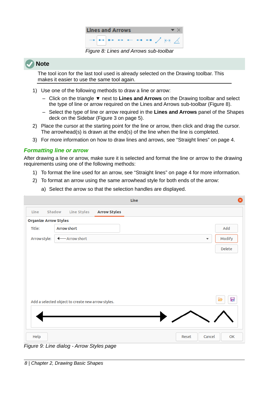<span id="page-7-1"></span>

The tool icon for the last tool used is already selected on the Drawing toolbar. This makes it easier to use the same tool again.

- 1) Use one of the following methods to draw a line or arrow:
	- Click on the triangle ▼ next to **Lines and Arrows** on the Drawing toolbar and select the type of line or arrow required on the Lines and Arrows sub-toolbar (Figure [8\)](#page-7-1).
	- Select the type of line or arrow required in the **Lines and Arrows** panel of the Shapes deck on the Sidebar (Figure [3](#page-4-1) on page [5\)](#page-4-1).
- 2) Place the cursor at the starting point for the line or arrow, then click and drag the cursor. The arrowhead(s) is drawn at the end(s) of the line when the line is completed.
- 3) For more information on how to draw lines and arrows, see ["Straight lines](#page-3-1)" on page [4.](#page-3-0)

### <span id="page-7-0"></span>*Formatting line or arrow*

After drawing a line or arrow, make sure it is selected and format the line or arrow to the drawing requirements using one of the following methods:

- 1) To format the line used for an arrow, see "[Straight lines"](#page-3-1) on page [4](#page-3-0) for more information.
- 2) To format an arrow using the same arrowhead style for both ends of the arrow:

|                              |                                                   | Line                    | $\times$ |
|------------------------------|---------------------------------------------------|-------------------------|----------|
| Line                         | Shadow<br>Line Styles<br><b>Arrow Styles</b>      |                         |          |
| <b>Organize Arrow Styles</b> |                                                   |                         |          |
| Title:                       | <b>Arrow short</b>                                |                         | Add      |
| Arrow style:                 | -Arrow short<br>◂                                 | $\overline{\mathbf{v}}$ | Modify   |
|                              |                                                   |                         | Delete   |
|                              | Add a selected object to create new arrow styles. |                         | 귾<br>ð   |
| Help                         |                                                   | Cancel<br>Reset         | OK       |

a) Select the arrow so that the selection handles are displayed.

<span id="page-7-2"></span>*Figure 9: Line dialog - Arrow Styles page*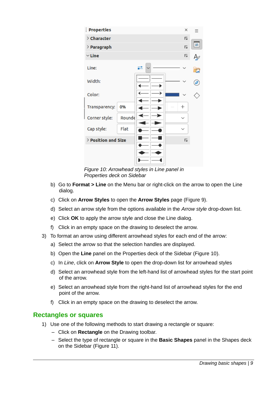| <b>Properties</b>   |        |  | $\times$                |   |
|---------------------|--------|--|-------------------------|---|
| > Character         |        |  | $\overline{\mathbf{z}}$ |   |
| $\angle$ Paragraph  |        |  | $\overline{\mathbf{z}}$ | ≠ |
| $\vee$ Line         |        |  | 心                       |   |
| Line:               |        |  |                         | E |
| Width:              |        |  |                         | Ø |
| Color:              |        |  |                         |   |
| Transparency:       | 0%     |  | $^{+}$                  |   |
| Corner style:       | Rounde |  | $\check{ }$             |   |
| Cap style:          | Flat   |  | $\check{ }$             |   |
| > Position and Size |        |  | 心                       |   |
|                     |        |  |                         |   |
|                     |        |  |                         |   |
|                     |        |  |                         |   |

<span id="page-8-1"></span>*Figure 10: Arrowhead styles in Line panel in Properties deck on Sidebar*

- b) Go to **Format > Line** on the Menu bar or right-click on the arrow to open the Line dialog.
- c) Click on **Arrow Styles** to open the **Arrow Styles** page (Figure [9\)](#page-7-2).
- d) Select an arrow style from the options available in the *Arrow style* drop-down list.
- e) Click **OK** to apply the arrow style and close the Line dialog.
- f) Click in an empty space on the drawing to deselect the arrow.
- 3) To format an arrow using different arrowhead styles for each end of the arrow:
	- a) Select the arrow so that the selection handles are displayed.
	- b) Open the **Line** panel on the Properties deck of the Sidebar (Figure [10\)](#page-8-1).
	- c) In *Line*, click on **Arrow Style** to open the drop-down list for arrowhead styles
	- d) Select an arrowhead style from the left-hand list of arrowhead styles for the start point of the arrow.
	- e) Select an arrowhead style from the right-hand list of arrowhead styles for the end point of the arrow.
	- f) Click in an empty space on the drawing to deselect the arrow.

#### <span id="page-8-0"></span>**Rectangles or squares**

- 1) Use one of the following methods to start drawing a rectangle or square:
	- Click on **Rectangle** on the Drawing toolbar.
	- Select the type of rectangle or square in the **Basic Shapes** panel in the Shapes deck on the Sidebar (Figure [11\)](#page-9-0).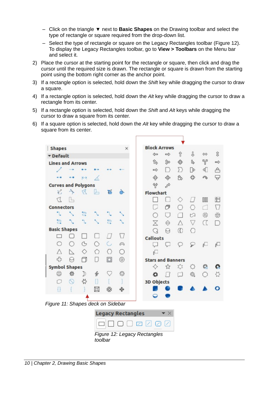- Click on the triangle ▼ next to **Basic Shapes** on the Drawing toolbar and select the type of rectangle or square required from the drop-down list.
- Select the type of rectangle or square on the Legacy Rectangles toolbar (Figure [12](#page-9-1)). To display the Legacy Rectangles toolbar, go to **View > Toolbars** on the Menu bar and select it.
- 2) Place the cursor at the starting point for the rectangle or square, then click and drag the cursor until the required size is drawn. The rectangle or square is drawn from the starting point using the bottom right corner as the anchor point.
- 3) If a rectangle option is selected, hold down the *Shift* key while dragging the cursor to draw a square.
- 4) If a rectangle option is selected, hold down the *Alt* key while dragging the cursor to draw a rectangle from its center.
- 5) If a rectangle option is selected, hold down the *Shift* and *Alt* keys while dragging the cursor to draw a square from its center.
- 6) If a square option is selected, hold down the *Alt* key while dragging the cursor to draw a square from its center.

| <b>Shapes</b>              |                          |           |               |   | ×        | <b>Block Arrows</b>      |               |              |                 |     |  |
|----------------------------|--------------------------|-----------|---------------|---|----------|--------------------------|---------------|--------------|-----------------|-----|--|
|                            |                          |           |               |   |          | $\Leftarrow$             | ⇨             | ⇧            | I               | ⇔   |  |
| <b>v</b> Default           |                          |           |               |   |          |                          |               |              |                 |     |  |
| <b>Lines and Arrows</b>    |                          |           |               |   |          | ⑮                        | 旋             | ⊕            | 马               | Y   |  |
|                            |                          |           |               |   |          | $\Rightarrow$            | $\vert$ )     | D            | ⊮               | 41  |  |
|                            |                          | $\mapsto$ | X             |   |          | ф                        | 숇             | 态            | ఫి              | P)  |  |
| <b>Curves and Polygons</b> |                          |           |               |   |          | Ÿ                        | ₽             |              |                 |     |  |
| V,                         | $\rightarrow$            | ₫         | Ь             | छ |          | <b>Flowchart</b>         |               |              |                 |     |  |
| U                          | IL,                      |           |               |   |          |                          |               | ◇            | $\frac{1}{2}$   | OOO |  |
| <b>Connectors</b>          |                          |           |               |   |          |                          | σ             | $^{(+)}$     | O               | m   |  |
|                            |                          | ៊         |               |   |          | $\rightarrow$            | U             | ٦            | ∞               | ⊗   |  |
| a                          |                          |           |               | a |          | X                        | ⇔             | $\triangle$  | $\triangledown$ | α   |  |
| <b>Basic Shapes</b>        |                          |           |               |   |          | Q                        | Θ             | $^\circledR$ | O               |     |  |
|                            |                          |           |               |   | $\left($ | <b>Callouts</b>          |               |              |                 |     |  |
| ∩                          | Ω                        | G         | ◠             | G | ⋒        | لبريا                    | U             | O            | ₽               | ₫   |  |
| Δ                          | $\overline{\phantom{a}}$ | ◇         | ∧             | O | Ω        | p.                       |               |              |                 |     |  |
| 47                         | А                        | f         | IJ            | ⊡ | ⊚        | <b>Stars and Banners</b> |               |              |                 |     |  |
| <b>Symbol Shapes</b>       |                          |           |               |   |          | ✧                        | $\mathcal{L}$ | 惢            | O               | 群   |  |
| ☺                          | 资                        | D         | $\frac{1}{2}$ | ♡ | ◎        | o                        | $\perp$       | □            | 愈               | O   |  |
| n                          | $\circledcirc$           | ☆         |               |   |          | <b>3D Objects</b>        |               |              |                 |     |  |
| 0                          |                          |           | 耳             | ₩ |          |                          |               |              |                 |     |  |
|                            |                          |           |               |   |          |                          |               |              |                 |     |  |

<span id="page-9-1"></span><span id="page-9-0"></span>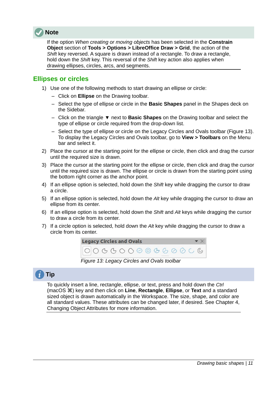

If the option *When creating or moving objects* has been selected in the **Constrain Object** section of **Tools > Options > LibreOffice Draw > Grid**, the action of the *Shift* key reversed. A square is drawn instead of a rectangle. To draw a rectangle, hold down the *Shift* key. This reversal of the *Shift* key action also applies when drawing ellipses, circles, arcs, and segments.

### <span id="page-10-0"></span>**Ellipses or circles**

- 1) Use one of the following methods to start drawing an ellipse or circle:
	- Click on **Ellipse** on the Drawing toolbar.
	- Select the type of ellipse or circle in the **Basic Shapes** panel in the Shapes deck on the Sidebar.
	- Click on the triangle ▼ next to **Basic Shapes** on the Drawing toolbar and select the type of ellipse or circle required from the drop-down list.
	- Select the type of ellipse or circle on the Legacy Circles and Ovals toolbar (Figure [13\)](#page-10-1). To display the Legacy Circles and Ovals toolbar, go to **View > Toolbars** on the Menu bar and select it.
- 2) Place the cursor at the starting point for the ellipse or circle, then click and drag the cursor until the required size is drawn.
- 3) Place the cursor at the starting point for the ellipse or circle, then click and drag the cursor until the required size is drawn. The ellipse or circle is drawn from the starting point using the bottom right corner as the anchor point.
- 4) If an ellipse option is selected, hold down the *Shift* key while dragging the cursor to draw a circle.
- 5) If an ellipse option is selected, hold down the *Alt* key while dragging the cursor to draw an ellipse from its center.
- 6) If an ellipse option is selected, hold down the *Shift* and *Alt* keys while dragging the cursor to draw a circle from its center.
- 7) If a circle option is selected, hold down the *Alt* key while dragging the cursor to draw a circle from its center.

<span id="page-10-1"></span>

*Figure 13: Legacy Circles and Ovals toolbar*

# **Tip**

To quickly insert a line, rectangle, ellipse, or text, press and hold down the *Ctrl* (macOS  $\mathcal{R}$ ) key and then click on **Line**, **Rectangle**, **Ellipse**, or **Text** and a standard sized object is drawn automatically in the Workspace. The size, shape, and color are all standard values. These attributes can be changed later, if desired. See Chapter 4, Changing Object Attributes for more information.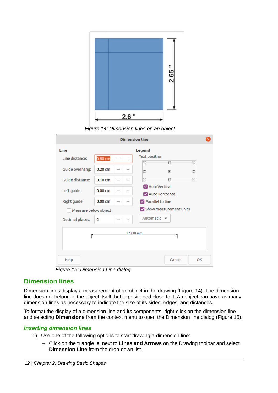

<span id="page-11-3"></span>*Figure 14: Dimension lines on an object*

|                      |                    |        | <b>Dimension line</b>            |
|----------------------|--------------------|--------|----------------------------------|
| Line                 |                    |        | Legend                           |
| Line distance:       | 0.80 <sub>cm</sub> | $^{+}$ | <b>Text position</b>             |
| Guide overhang:      | $0.20$ cm          | $^{+}$ | $\bullet$                        |
| Guide distance:      | $0.10 \text{ cm}$  | $^{+}$ |                                  |
| Left guide:          | 0.00 <sub>cm</sub> | $^{+}$ | AutoVertical<br>AutoHorizontal   |
| Right guide:         | 0.00 <sub>cm</sub> | $^{+}$ | $\triangledown$ Parallel to line |
| Measure below object |                    |        | Show measurement units           |
| Decimal places:      | 2                  | $^{+}$ | Automatic $\blacktriangleright$  |
|                      |                    |        | 170.18 mm                        |
|                      |                    |        |                                  |
|                      |                    |        |                                  |
| Help                 |                    |        | Cancel<br>OK                     |

<span id="page-11-2"></span>*Figure 15: Dimension Line dialog*

### <span id="page-11-1"></span>**Dimension lines**

Dimension lines display a measurement of an object in the drawing (Figure [14](#page-11-3)). The dimension line does not belong to the object itself, but is positioned close to it. An object can have as many dimension lines as necessary to indicate the size of its sides, edges, and distances.

To format the display of a dimension line and its components, right-click on the dimension line and selecting **Dimensions** from the context menu to open the Dimension line dialog (Figure [15\)](#page-11-2).

#### <span id="page-11-0"></span>*Inserting dimension lines*

- 1) Use one of the following options to start drawing a dimension line:
	- Click on the triangle ▼ next to **Lines and Arrows** on the Drawing toolbar and select **Dimension Line** from the drop-down list.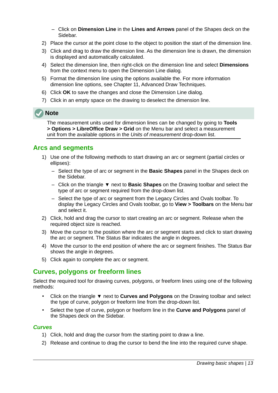- Click on **Dimension Line** in the **Lines and Arrows** panel of the Shapes deck on the Sidebar.
- 2) Place the cursor at the point close to the object to position the start of the dimension line.
- 3) Click and drag to draw the dimension line. As the dimension line is drawn, the dimension is displayed and automatically calculated.
- 4) Select the dimension line, then right-click on the dimension line and select **Dimensions** from the context menu to open the Dimension Line dialog.
- 5) Format the dimension line using the options available the. For more information dimension line options, see Chapter 11, Advanced Draw Techniques.
- 6) Click **OK** to save the changes and close the Dimension Line dialog.
- 7) Click in an empty space on the drawing to deselect the dimension line.

The measurement units used for dimension lines can be changed by going to **Tools > Options > LibreOffice Draw > Grid** on the Menu bar and select a measurement unit from the available options in the *Units of measurement* drop-down list.

### <span id="page-12-2"></span>**Arcs and segments**

- 1) Use one of the following methods to start drawing an arc or segment (partial circles or ellipses):
	- Select the type of arc or segment in the **Basic Shapes** panel in the Shapes deck on the Sidebar.
	- Click on the triangle ▼ next to **Basic Shapes** on the Drawing toolbar and select the type of arc or segment required from the drop-down list.
	- Select the type of arc or segment from the Legacy Circles and Ovals toolbar. To display the Legacy Circles and Ovals toolbar, go to **View > Toolbars** on the Menu bar and select it.
- 2) Click, hold and drag the cursor to start creating an arc or segment. Release when the required object size is reached.
- 3) Move the cursor to the position where the arc or segment starts and click to start drawing the arc or segment. The Status Bar indicates the angle in degrees.
- 4) Move the cursor to the end position of where the arc or segment finishes. The Status Bar shows the angle in degrees.
- 5) Click again to complete the arc or segment.

# <span id="page-12-1"></span>**Curves, polygons or freeform lines**

Select the required tool for drawing curves, polygons, or freeform lines using one of the following methods:

- Click on the triangle ▼ next to **Curves and Polygons** on the Drawing toolbar and select the type of curve, polygon or freeform line from the drop-down list.
- Select the type of curve, polygon or freeform line in the **Curve and Polygons** panel of the Shapes deck on the Sidebar.

#### <span id="page-12-0"></span>*Curves*

- 1) Click, hold and drag the cursor from the starting point to draw a line.
- 2) Release and continue to drag the cursor to bend the line into the required curve shape.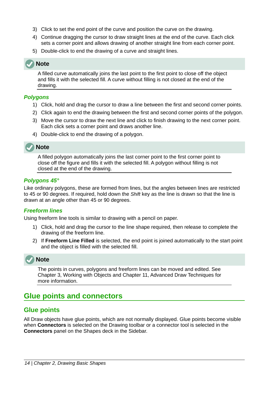- 3) Click to set the end point of the curve and position the curve on the drawing.
- 4) Continue dragging the cursor to draw straight lines at the end of the curve. Each click sets a corner point and allows drawing of another straight line from each corner point.
- 5) Double-click to end the drawing of a curve and straight lines.

A filled curve automatically joins the last point to the first point to close off the object and fills it with the selected fill. A curve without filling is not closed at the end of the drawing.

#### <span id="page-13-4"></span>*Polygons*

- 1) Click, hold and drag the cursor to draw a line between the first and second corner points.
- 2) Click again to end the drawing between the first and second corner points of the polygon.
- 3) Move the cursor to draw the next line and click to finish drawing to the next corner point. Each click sets a corner point and draws another line.
- 4) Double-click to end the drawing of a polygon.

# **Note**

A filled polygon automatically joins the last corner point to the first corner point to close off the figure and fills it with the selected fill. A polygon without filling is not closed at the end of the drawing.

#### <span id="page-13-3"></span>*Polygons 45°*

Like ordinary polygons, these are formed from lines, but the angles between lines are restricted to 45 or 90 degrees. If required, hold down the *Shift* key as the line is drawn so that the line is drawn at an angle other than 45 or 90 degrees.

### <span id="page-13-2"></span>*Freeform lines*

Using freeform line tools is similar to drawing with a pencil on paper.

- 1) Click, hold and drag the cursor to the line shape required, then release to complete the drawing of the freeform line.
- 2) If **Freeform Line Filled** is selected, the end point is joined automatically to the start point and the object is filled with the selected fill.



The points in curves, polygons and freeform lines can be moved and edited. See Chapter 3, Working with Objects and Chapter 11, Advanced Draw Techniques for more information.

# <span id="page-13-1"></span>**Glue points and connectors**

# <span id="page-13-0"></span>**Glue points**

All Draw objects have glue points, which are not normally displayed. Glue points become visible when **Connectors** is selected on the Drawing toolbar or a connector tool is selected in the **Connectors** panel on the Shapes deck in the Sidebar.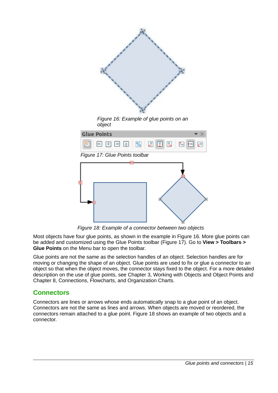<span id="page-14-3"></span>

<span id="page-14-2"></span><span id="page-14-1"></span>*Figure 18: Example of a connector between two objects*

Most objects have four glue points, as shown in the example in Figure [16](#page-14-3). More glue points can be added and customized using the Glue Points toolbar (Figure [17](#page-14-2)). Go to **View > Toolbars > Glue Points** on the Menu bar to open the toolbar.

Glue points are not the same as the selection handles of an object. Selection handles are for moving or changing the shape of an object. Glue points are used to fix or glue a connector to an object so that when the object moves, the connector stays fixed to the object. For a more detailed description on the use of glue points, see Chapter 3, Working with Objects and Object Points and Chapter 8, Connections, Flowcharts, and Organization Charts.

### <span id="page-14-0"></span>**Connectors**

Connectors are lines or arrows whose ends automatically snap to a glue point of an object. Connectors are not the same as lines and arrows. When objects are moved or reordered, the connectors remain attached to a glue point. Figure [18](#page-14-1) shows an example of two objects and a connector.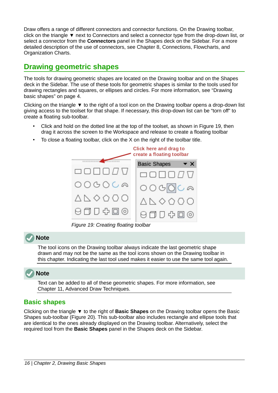Draw offers a range of different connectors and connector functions. On the Drawing toolbar, click on the triangle ▼ next to Connectors and select a connector type from the drop-down list, or select a connector from the **Connectors** panel in the Shapes deck on the Sidebar. For a more detailed description of the use of connectors, see Chapter 8, Connections, Flowcharts, and Organization Charts.

# <span id="page-15-1"></span>**Drawing geometric shapes**

The tools for drawing geometric shapes are located on the Drawing toolbar and on the Shapes deck in the Sidebar. The use of these tools for geometric shapes is similar to the tools used for drawing rectangles and squares, or ellipses and circles. For more information, see "[Drawing](#page-3-2)  [basic shapes](#page-3-2)" on page [4](#page-3-2).

Clicking on the triangle ▼ to the right of a tool icon on the Drawing toolbar opens a drop-down list giving access to the toolset for that shape. If necessary, this drop-down list can be "torn off" to create a floating sub-toolbar.

- Click and hold on the dotted line at the top of the toolset, as shown in Figure [19](#page-15-2), then drag it across the screen to the Workspace and release to create a floating toolbar
- To close a floating toolbar, click on the X on the right of the toolbar title.



<span id="page-15-2"></span>*Figure 19: Creating floating toolbar*

# **Note**

The tool icons on the Drawing toolbar always indicate the last geometric shape drawn and may not be the same as the tool icons shown on the Drawing toolbar in this chapter. Indicating the last tool used makes it easier to use the same tool again.



Text can be added to all of these geometric shapes. For more information, see Chapter 11, Advanced Draw Techniques.

# <span id="page-15-0"></span>**Basic shapes**

Clicking on the triangle ▼ to the right of **Basic Shapes** on the Drawing toolbar opens the Basic Shapes sub-toolbar (Figure [20\)](#page-16-5). This sub-toolbar also includes rectangle and ellipse tools that are identical to the ones already displayed on the Drawing toolbar. Alternatively, select the required tool from the **Basic Shapes** panel in the Shapes deck on the Sidebar.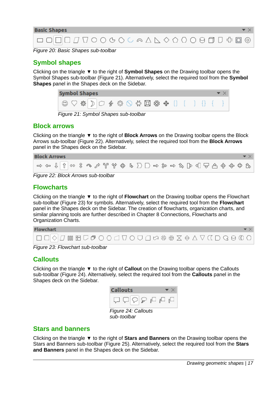

<span id="page-16-5"></span>*Figure 20: Basic Shapes sub-toolbar*

# <span id="page-16-4"></span>**Symbol shapes**

Clicking on the triangle ▼ to the right of **Symbol Shapes** on the Drawing toolbar opens the Symbol Shapes sub-toolbar (Figure [21](#page-16-9)). Alternatively, select the required tool from the **Symbol Shapes** panel in the Shapes deck on the Sidebar.

<span id="page-16-9"></span>

| <b>Symbol Shapes</b>                                                                                                                                                                                                                                                                                                                                                                                                                                   |  |  |  |  |  |  |  |
|--------------------------------------------------------------------------------------------------------------------------------------------------------------------------------------------------------------------------------------------------------------------------------------------------------------------------------------------------------------------------------------------------------------------------------------------------------|--|--|--|--|--|--|--|
| $\textcircled{2} \heartsuit \& \textcircled{1} \heartsuit \& \textcircled{2} \& \textcircled{3} \& \textcircled{4} \& \textcircled{5} \& \textcircled{6} \& \textcircled{6} \& \textcircled{7} \; \textcircled{1} \; \textcircled{1} \; \textcircled{1} \; \textcircled{1} \; \textcircled{1} \; \textcircled{1} \; \textcircled{1} \; \textcircled{1} \; \textcircled{2} \; \textcircled{3} \; \textcircled{4} \; \textcircled{5} \; \textcircled{6}$ |  |  |  |  |  |  |  |
| Figure 21: Symbol Shapes sub-toolbar                                                                                                                                                                                                                                                                                                                                                                                                                   |  |  |  |  |  |  |  |

### <span id="page-16-3"></span>**Block arrows**

Clicking on the triangle ▼ to the right of **Block Arrows** on the Drawing toolbar opens the Block Arrows sub-toolbar (Figure [22](#page-16-8)). Alternatively, select the required tool from the **Block Arrows** panel in the Shapes deck on the Sidebar.

| $\Rightarrow \Leftrightarrow \Downarrow \Uparrow \Rightarrow \Uparrow \Rightarrow \Uparrow \Rightarrow \Uparrow \Rightarrow \Uparrow \Rightarrow \Uparrow \Rightarrow \Uparrow \Rightarrow \Uparrow \Rightarrow \Uparrow \Rightarrow \Uparrow \Rightarrow \Uparrow \Rightarrow \Uparrow \Rightarrow \Uparrow \Rightarrow \Uparrow \Rightarrow \Uparrow \Rightarrow \Uparrow \Rightarrow \Uparrow \Rightarrow \Uparrow \Rightarrow \Uparrow \Rightarrow \Uparrow \Rightarrow \Uparrow \Rightarrow \Uparrow \Rightarrow \Uparrow \Rightarrow \Uparrow \Rightarrow \Uparrow \Rightarrow \Uparrow \Rightarrow \Uparrow \Rightarrow \Uparrow \Rightarrow \Uparrow \Rightarrow \Uparrow \Rightarrow \Uparrow \Rightarrow \Uparrow \Rightarrow \Uparrow \Rightarrow \Uparrow \Rightarrow \Uparrow \Rightarrow$ |  |  |  |  |  |  |  |  |  |  |  |  | <b>Block Arrows</b> |
|---------------------------------------------------------------------------------------------------------------------------------------------------------------------------------------------------------------------------------------------------------------------------------------------------------------------------------------------------------------------------------------------------------------------------------------------------------------------------------------------------------------------------------------------------------------------------------------------------------------------------------------------------------------------------------------------------------------------------------------------------------------------------------------------------------|--|--|--|--|--|--|--|--|--|--|--|--|---------------------|
|                                                                                                                                                                                                                                                                                                                                                                                                                                                                                                                                                                                                                                                                                                                                                                                                         |  |  |  |  |  |  |  |  |  |  |  |  |                     |

<span id="page-16-8"></span>*Figure 22: Block Arrows sub-toolbar*

# <span id="page-16-2"></span>**Flowcharts**

Clicking on the triangle ▼ to the right of **Flowchart** on the Drawing toolbar opens the Flowchart sub-toolbar (Figure [23](#page-16-7)) for symbols. Alternatively, select the required tool from the **Flowchart** panel in the Shapes deck on the Sidebar. The creation of flowcharts, organization charts, and similar planning tools are further described in Chapter 8 Connections, Flowcharts and Organization Charts.



*Figure 23: Flowchart sub-toolbar*

# <span id="page-16-7"></span><span id="page-16-1"></span>**Callouts**

Clicking on the triangle ▼ to the right of **Callout** on the Drawing toolbar opens the Callouts sub-toolbar (Figure [24](#page-16-6)). Alternatively, select the required tool from the **Callouts** panel in the Shapes deck on the Sidebar.



<span id="page-16-6"></span>*sub-toolbar*

# <span id="page-16-0"></span>**Stars and banners**

Clicking on the triangle ▼ to the right of **Stars and Banners** on the Drawing toolbar opens the Stars and Banners sub-toolbar (Figure [25](#page-17-2)). Alternatively, select the required tool from the **Stars and Banners** panel in the Shapes deck on the Sidebar.